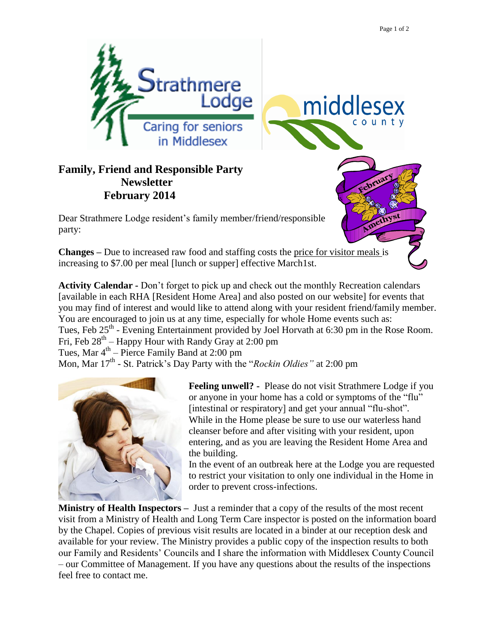middlesex

county



## **Family, Friend and Responsible Party Newsletter February 2014**

Dear Strathmere Lodge resident's family member/friend/responsible party:

**Changes –** Due to increased raw food and staffing costs the price for visitor meals is increasing to \$7.00 per meal [lunch or supper] effective March1st.

**Activity Calendar -** Don't forget to pick up and check out the monthly Recreation calendars [available in each RHA [Resident Home Area] and also posted on our website] for events that you may find of interest and would like to attend along with your resident friend/family member. You are encouraged to join us at any time, especially for whole Home events such as: Tues, Feb 25<sup>th</sup> - Evening Entertainment provided by Joel Horvath at 6:30 pm in the Rose Room. Fri, Feb  $28<sup>th</sup>$  – Happy Hour with Randy Gray at 2:00 pm Tues, Mar  $4<sup>th</sup>$  – Pierce Family Band at 2:00 pm Mon, Mar 17<sup>th</sup> - St. Patrick's Day Party with the "*Rockin Oldies*" at 2:00 pm



**Feeling unwell? -** Please do not visit Strathmere Lodge if you or anyone in your home has a cold or symptoms of the "flu" [intestinal or respiratory] and get your annual "flu-shot". While in the Home please be sure to use our waterless hand cleanser before and after visiting with your resident, upon entering, and as you are leaving the Resident Home Area and the building.

In the event of an outbreak here at the Lodge you are requested to restrict your visitation to only one individual in the Home in order to prevent cross-infections.

**Ministry of Health Inspectors –** Just a reminder that a copy of the results of the most recent visit from a Ministry of Health and Long Term Care inspector is posted on the information board by the Chapel. Copies of previous visit results are located in a binder at our reception desk and available for your review. The Ministry provides a public copy of the inspection results to both our Family and Residents' Councils and I share the information with Middlesex County Council – our Committee of Management. If you have any questions about the results of the inspections feel free to contact me.